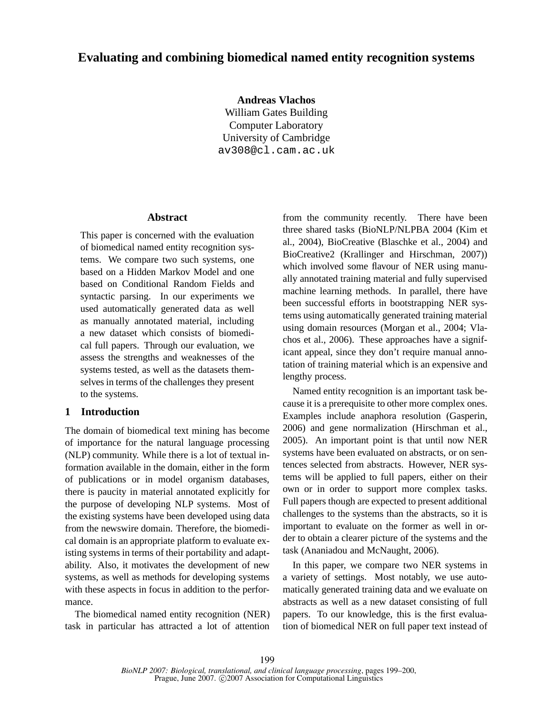# **Evaluating and combining biomedical named entity recognition systems**

**Andreas Vlachos**

William Gates Building Computer Laboratory University of Cambridge av308@cl.cam.ac.uk

#### **Abstract**

This paper is concerned with the evaluation of biomedical named entity recognition systems. We compare two such systems, one based on a Hidden Markov Model and one based on Conditional Random Fields and syntactic parsing. In our experiments we used automatically generated data as well as manually annotated material, including a new dataset which consists of biomedical full papers. Through our evaluation, we assess the strengths and weaknesses of the systems tested, as well as the datasets themselves in terms of the challenges they present to the systems.

## **1 Introduction**

The domain of biomedical text mining has become of importance for the natural language processing (NLP) community. While there is a lot of textual information available in the domain, either in the form of publications or in model organism databases, there is paucity in material annotated explicitly for the purpose of developing NLP systems. Most of the existing systems have been developed using data from the newswire domain. Therefore, the biomedical domain is an appropriate platform to evaluate existing systems in terms of their portability and adaptability. Also, it motivates the development of new systems, as well as methods for developing systems with these aspects in focus in addition to the performance.

The biomedical named entity recognition (NER) task in particular has attracted a lot of attention

from the community recently. There have been three shared tasks (BioNLP/NLPBA 2004 (Kim et al., 2004), BioCreative (Blaschke et al., 2004) and BioCreative2 (Krallinger and Hirschman, 2007)) which involved some flavour of NER using manually annotated training material and fully supervised machine learning methods. In parallel, there have been successful efforts in bootstrapping NER systems using automatically generated training material using domain resources (Morgan et al., 2004; Vlachos et al., 2006). These approaches have a significant appeal, since they don't require manual annotation of training material which is an expensive and lengthy process.

Named entity recognition is an important task because it is a prerequisite to other more complex ones. Examples include anaphora resolution (Gasperin, 2006) and gene normalization (Hirschman et al., 2005). An important point is that until now NER systems have been evaluated on abstracts, or on sentences selected from abstracts. However, NER systems will be applied to full papers, either on their own or in order to support more complex tasks. Full papers though are expected to present additional challenges to the systems than the abstracts, so it is important to evaluate on the former as well in order to obtain a clearer picture of the systems and the task (Ananiadou and McNaught, 2006).

In this paper, we compare two NER systems in a variety of settings. Most notably, we use automatically generated training data and we evaluate on abstracts as well as a new dataset consisting of full papers. To our knowledge, this is the first evaluation of biomedical NER on full paper text instead of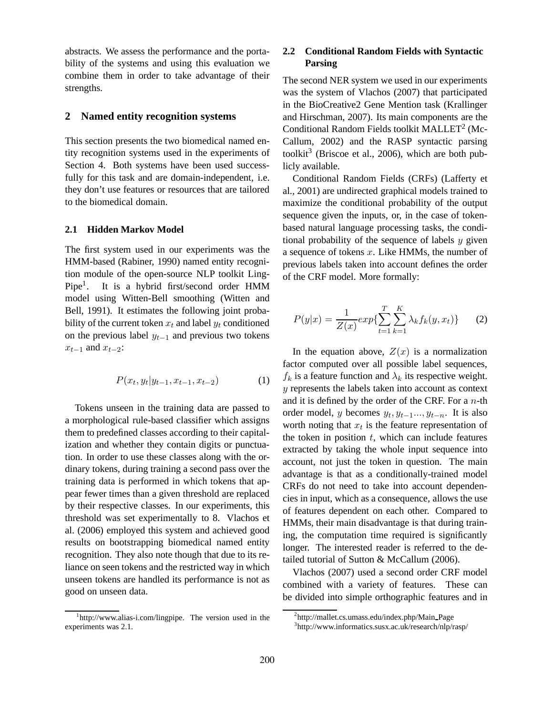abstracts. We assess the performance and the portability of the systems and using this evaluation we combine them in order to take advantage of their strengths.

### **2 Named entity recognition systems**

This section presents the two biomedical named entity recognition systems used in the experiments of Section 4. Both systems have been used successfully for this task and are domain-independent, i.e. they don't use features or resources that are tailored to the biomedical domain.

#### **2.1 Hidden Markov Model**

The first system used in our experiments was the HMM-based (Rabiner, 1990) named entity recognition module of the open-source NLP toolkit Ling- $Pipe<sup>1</sup>$ . . It is a hybrid first/second order HMM model using Witten-Bell smoothing (Witten and Bell, 1991). It estimates the following joint probability of the current token  $x_t$  and label  $y_t$  conditioned on the previous label  $y_{t-1}$  and previous two tokens  $x_{t-1}$  and  $x_{t-2}$ :

$$
P(x_t, y_t | y_{t-1}, x_{t-1}, x_{t-2}) \tag{1}
$$

Tokens unseen in the training data are passed to a morphological rule-based classifier which assigns them to predefined classes according to their capitalization and whether they contain digits or punctuation. In order to use these classes along with the ordinary tokens, during training a second pass over the training data is performed in which tokens that appear fewer times than a given threshold are replaced by their respective classes. In our experiments, this threshold was set experimentally to 8. Vlachos et al. (2006) employed this system and achieved good results on bootstrapping biomedical named entity recognition. They also note though that due to its reliance on seen tokens and the restricted way in which unseen tokens are handled its performance is not as good on unseen data.

## **2.2 Conditional Random Fields with Syntactic Parsing**

The second NER system we used in our experiments was the system of Vlachos (2007) that participated in the BioCreative2 Gene Mention task (Krallinger and Hirschman, 2007). Its main components are the Conditional Random Fields toolkit MALLET<sup>2</sup> (Mc-Callum, 2002) and the RASP syntactic parsing toolkit<sup>3</sup> (Briscoe et al., 2006), which are both publicly available.

Conditional Random Fields (CRFs) (Lafferty et al., 2001) are undirected graphical models trained to maximize the conditional probability of the output sequence given the inputs, or, in the case of tokenbased natural language processing tasks, the conditional probability of the sequence of labels  $y$  given a sequence of tokens x. Like HMMs, the number of previous labels taken into account defines the order of the CRF model. More formally:

$$
P(y|x) = \frac{1}{Z(x)} exp{\sum_{t=1}^{T} \sum_{k=1}^{K} \lambda_k f_k(y, x_t)}
$$
 (2)

In the equation above,  $Z(x)$  is a normalization factor computed over all possible label sequences,  $f_k$  is a feature function and  $\lambda_k$  its respective weight. y represents the labels taken into account as context and it is defined by the order of the CRF. For a  $n$ -th order model, y becomes  $y_t, y_{t-1}..., y_{t-n}$ . It is also worth noting that  $x_t$  is the feature representation of the token in position  $t$ , which can include features extracted by taking the whole input sequence into account, not just the token in question. The main advantage is that as a conditionally-trained model CRFs do not need to take into account dependencies in input, which as a consequence, allows the use of features dependent on each other. Compared to HMMs, their main disadvantage is that during training, the computation time required is significantly longer. The interested reader is referred to the detailed tutorial of Sutton & McCallum (2006).

Vlachos (2007) used a second order CRF model combined with a variety of features. These can be divided into simple orthographic features and in

<sup>&</sup>lt;sup>1</sup>http://www.alias-i.com/lingpipe. The version used in the experiments was 2.1.

<sup>2</sup> http://mallet.cs.umass.edu/index.php/Main Page

<sup>3</sup> http://www.informatics.susx.ac.uk/research/nlp/rasp/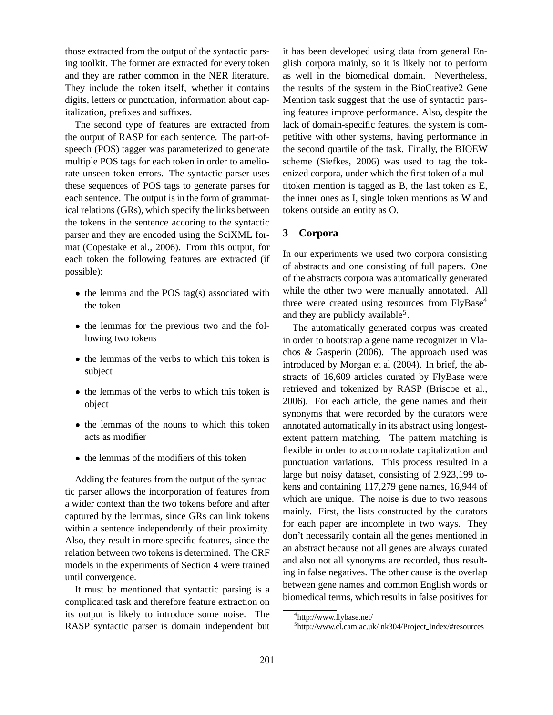those extracted from the output of the syntactic parsing toolkit. The former are extracted for every token and they are rather common in the NER literature. They include the token itself, whether it contains digits, letters or punctuation, information about capitalization, prefixes and suffixes.

The second type of features are extracted from the output of RASP for each sentence. The part-ofspeech (POS) tagger was parameterized to generate multiple POS tags for each token in order to ameliorate unseen token errors. The syntactic parser uses these sequences of POS tags to generate parses for each sentence. The output is in the form of grammatical relations (GRs), which specify the links between the tokens in the sentence accoring to the syntactic parser and they are encoded using the SciXML format (Copestake et al., 2006). From this output, for each token the following features are extracted (if possible):

- the lemma and the POS tag(s) associated with the token
- the lemmas for the previous two and the following two tokens
- the lemmas of the verbs to which this token is subject
- the lemmas of the verbs to which this token is object
- the lemmas of the nouns to which this token acts as modifier
- the lemmas of the modifiers of this token

Adding the features from the output of the syntactic parser allows the incorporation of features from a wider context than the two tokens before and after captured by the lemmas, since GRs can link tokens within a sentence independently of their proximity. Also, they result in more specific features, since the relation between two tokens is determined. The CRF models in the experiments of Section 4 were trained until convergence.

It must be mentioned that syntactic parsing is a complicated task and therefore feature extraction on its output is likely to introduce some noise. The RASP syntactic parser is domain independent but

it has been developed using data from general English corpora mainly, so it is likely not to perform as well in the biomedical domain. Nevertheless, the results of the system in the BioCreative2 Gene Mention task suggest that the use of syntactic parsing features improve performance. Also, despite the lack of domain-specific features, the system is competitive with other systems, having performance in the second quartile of the task. Finally, the BIOEW scheme (Siefkes, 2006) was used to tag the tokenized corpora, under which the first token of a multitoken mention is tagged as B, the last token as E, the inner ones as I, single token mentions as W and tokens outside an entity as O.

## **3 Corpora**

In our experiments we used two corpora consisting of abstracts and one consisting of full papers. One of the abstracts corpora was automatically generated while the other two were manually annotated. All three were created using resources from FlyBase<sup>4</sup> and they are publicly available<sup>5</sup>.

The automatically generated corpus was created in order to bootstrap a gene name recognizer in Vlachos & Gasperin (2006). The approach used was introduced by Morgan et al (2004). In brief, the abstracts of 16,609 articles curated by FlyBase were retrieved and tokenized by RASP (Briscoe et al., 2006). For each article, the gene names and their synonyms that were recorded by the curators were annotated automatically in its abstract using longestextent pattern matching. The pattern matching is flexible in order to accommodate capitalization and punctuation variations. This process resulted in a large but noisy dataset, consisting of 2,923,199 tokens and containing 117,279 gene names, 16,944 of which are unique. The noise is due to two reasons mainly. First, the lists constructed by the curators for each paper are incomplete in two ways. They don't necessarily contain all the genes mentioned in an abstract because not all genes are always curated and also not all synonyms are recorded, thus resulting in false negatives. The other cause is the overlap between gene names and common English words or biomedical terms, which results in false positives for

<sup>4</sup> http://www.flybase.net/

<sup>5</sup> http://www.cl.cam.ac.uk/ nk304/Project Index/#resources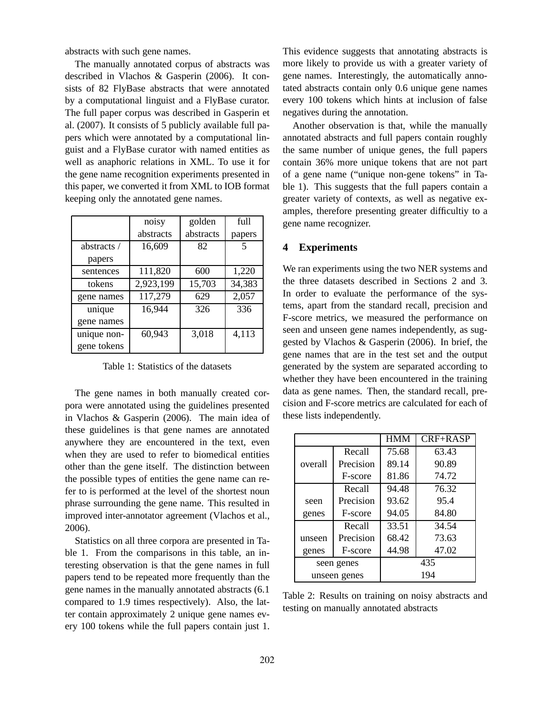abstracts with such gene names.

The manually annotated corpus of abstracts was described in Vlachos & Gasperin (2006). It consists of 82 FlyBase abstracts that were annotated by a computational linguist and a FlyBase curator. The full paper corpus was described in Gasperin et al. (2007). It consists of 5 publicly available full papers which were annotated by a computational linguist and a FlyBase curator with named entities as well as anaphoric relations in XML. To use it for the gene name recognition experiments presented in this paper, we converted it from XML to IOB format keeping only the annotated gene names.

|                           | noisy     | golden    | full   |
|---------------------------|-----------|-----------|--------|
|                           | abstracts | abstracts | papers |
| abstracts $\overline{\ }$ | 16,609    | 82        | 5      |
| papers                    |           |           |        |
| sentences                 | 111,820   | 600       | 1,220  |
| tokens                    | 2,923,199 | 15,703    | 34,383 |
| gene names                | 117,279   | 629       | 2,057  |
| unique                    | 16,944    | 326       | 336    |
| gene names                |           |           |        |
| unique non-               | 60,943    | 3,018     | 4,113  |
| gene tokens               |           |           |        |

Table 1: Statistics of the datasets

The gene names in both manually created corpora were annotated using the guidelines presented in Vlachos & Gasperin (2006). The main idea of these guidelines is that gene names are annotated anywhere they are encountered in the text, even when they are used to refer to biomedical entities other than the gene itself. The distinction between the possible types of entities the gene name can refer to is performed at the level of the shortest noun phrase surrounding the gene name. This resulted in improved inter-annotator agreement (Vlachos et al., 2006).

Statistics on all three corpora are presented in Table 1. From the comparisons in this table, an interesting observation is that the gene names in full papers tend to be repeated more frequently than the gene names in the manually annotated abstracts (6.1 compared to 1.9 times respectively). Also, the latter contain approximately 2 unique gene names every 100 tokens while the full papers contain just 1. This evidence suggests that annotating abstracts is more likely to provide us with a greater variety of gene names. Interestingly, the automatically annotated abstracts contain only 0.6 unique gene names every 100 tokens which hints at inclusion of false negatives during the annotation.

Another observation is that, while the manually annotated abstracts and full papers contain roughly the same number of unique genes, the full papers contain 36% more unique tokens that are not part of a gene name ("unique non-gene tokens" in Table 1). This suggests that the full papers contain a greater variety of contexts, as well as negative examples, therefore presenting greater difficultiy to a gene name recognizer.

## **4 Experiments**

We ran experiments using the two NER systems and the three datasets described in Sections 2 and 3. In order to evaluate the performance of the systems, apart from the standard recall, precision and F-score metrics, we measured the performance on seen and unseen gene names independently, as suggested by Vlachos & Gasperin (2006). In brief, the gene names that are in the test set and the output generated by the system are separated according to whether they have been encountered in the training data as gene names. Then, the standard recall, precision and F-score metrics are calculated for each of these lists independently.

|              |           | <b>HMM</b> | CRF+RASP |
|--------------|-----------|------------|----------|
|              | Recall    | 75.68      | 63.43    |
| overall      | Precision | 89.14      | 90.89    |
|              | F-score   | 81.86      | 74.72    |
|              | Recall    | 94.48      | 76.32    |
| seen         | Precision | 93.62      | 95.4     |
| genes        | F-score   | 94.05      | 84.80    |
|              | Recall    | 33.51      | 34.54    |
| unseen       | Precision | 68.42      | 73.63    |
| genes        | F-score   | 44.98      | 47.02    |
| seen genes   |           |            | 435      |
| unseen genes |           |            | 194      |

Table 2: Results on training on noisy abstracts and testing on manually annotated abstracts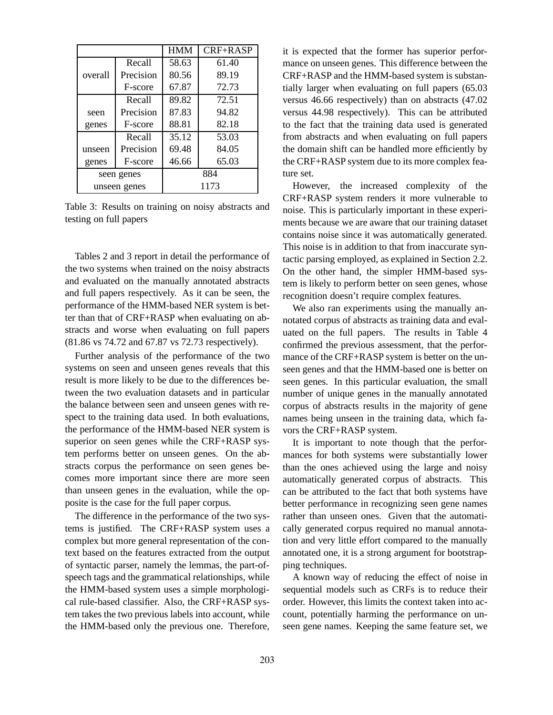|              |           | <b>HMM</b> | $CRF+RASP$ |
|--------------|-----------|------------|------------|
|              | Recall    | 58.63      | 61.40      |
| overall      | Precision | 80.56      | 89.19      |
|              | F-score   | 67.87      | 72.73      |
|              | Recall    | 89.82      | 72.51      |
| seen         | Precision | 87.83      | 94.82      |
| genes        | F-score   | 88.81      | 82.18      |
|              | Recall    | 35.12      | 53.03      |
| unseen       | Precision | 69.48      | 84.05      |
| genes        | F-score   | 46.66      | 65.03      |
| seen genes   |           | 884        |            |
| unseen genes |           | 1173       |            |

Table 3: Results on training on noisy abstracts and testing on full papers

Tables 2 and 3 report in detail the performance of the two systems when trained on the noisy abstracts and evaluated on the manually annotated abstracts and full papers respectively. As it can be seen, the performance of the HMM-based NER system is better than that of CRF+RASP when evaluating on abstracts and worse when evaluating on full papers (81.86 vs 74.72 and 67.87 vs 72.73 respectively).

Further analysis of the performance of the two systems on seen and unseen genes reveals that this result is more likely to be due to the differences between the two evaluation datasets and in particular the balance between seen and unseen genes with respect to the training data used. In both evaluations, the performance of the HMM-based NER system is superior on seen genes while the CRF+RASP system performs better on unseen genes. On the abstracts corpus the performance on seen genes becomes more important since there are more seen than unseen genes in the evaluation, while the opposite is the case for the full paper corpus.

The difference in the performance of the two systems is justified. The CRF+RASP system uses a complex but more general representation of the context based on the features extracted from the output of syntactic parser, namely the lemmas, the part-ofspeech tags and the grammatical relationships, while the HMM-based system uses a simple morphological rule-based classifier. Also, the CRF+RASP system takes the two previous labels into account, while the HMM-based only the previous one. Therefore,

it is expected that the former has superior performance on unseen genes. This difference between the CRF+RASP and the HMM-based system is substantially larger when evaluating on full papers (65.03 versus 46.66 respectively) than on abstracts (47.02 versus 44.98 respectively). This can be attributed to the fact that the training data used is generated from abstracts and when evaluating on full papers the domain shift can be handled more efficiently by the CRF+RASP system due to its more complex feature set.

However, the increased complexity of the CRF+RASP system renders it more vulnerable to noise. This is particularly important in these experiments because we are aware that our training dataset contains noise since it was automatically generated. This noise is in addition to that from inaccurate syntactic parsing employed, as explained in Section 2.2. On the other hand, the simpler HMM-based system is likely to perform better on seen genes, whose recognition doesn't require complex features.

We also ran experiments using the manually annotated corpus of abstracts as training data and evaluated on the full papers. The results in Table 4 confirmed the previous assessment, that the performance of the CRF+RASP system is better on the unseen genes and that the HMM-based one is better on seen genes. In this particular evaluation, the small number of unique genes in the manually annotated corpus of abstracts results in the majority of gene names being unseen in the training data, which favors the CRF+RASP system.

It is important to note though that the performances for both systems were substantially lower than the ones achieved using the large and noisy automatically generated corpus of abstracts. This can be attributed to the fact that both systems have better performance in recognizing seen gene names rather than unseen ones. Given that the automatically generated corpus required no manual annotation and very little effort compared to the manually annotated one, it is a strong argument for bootstrapping techniques.

A known way of reducing the effect of noise in sequential models such as CRFs is to reduce their order. However, this limits the context taken into account, potentially harming the performance on unseen gene names. Keeping the same feature set, we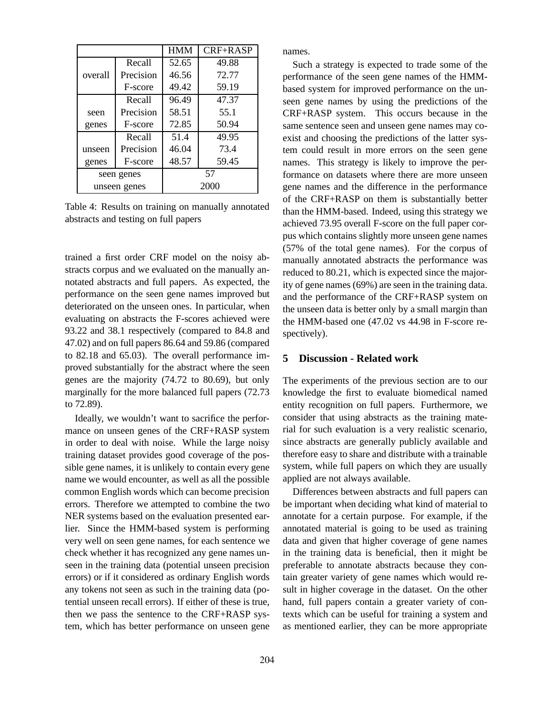|              |           | <b>HMM</b> | CRF+RASP |
|--------------|-----------|------------|----------|
|              | Recall    | 52.65      | 49.88    |
| overall      | Precision | 46.56      | 72.77    |
|              | F-score   | 49.42      | 59.19    |
|              | Recall    | 96.49      | 47.37    |
| seen         | Precision | 58.51      | 55.1     |
| genes        | F-score   | 72.85      | 50.94    |
|              | Recall    | 51.4       | 49.95    |
| unseen       | Precision | 46.04      | 73.4     |
| genes        | F-score   | 48.57      | 59.45    |
| seen genes   |           |            | 57       |
| unseen genes |           |            | 2000     |

Table 4: Results on training on manually annotated abstracts and testing on full papers

trained a first order CRF model on the noisy abstracts corpus and we evaluated on the manually annotated abstracts and full papers. As expected, the performance on the seen gene names improved but deteriorated on the unseen ones. In particular, when evaluating on abstracts the F-scores achieved were 93.22 and 38.1 respectively (compared to 84.8 and 47.02) and on full papers 86.64 and 59.86 (compared to 82.18 and 65.03). The overall performance improved substantially for the abstract where the seen genes are the majority (74.72 to 80.69), but only marginally for the more balanced full papers (72.73 to 72.89).

Ideally, we wouldn't want to sacrifice the performance on unseen genes of the CRF+RASP system in order to deal with noise. While the large noisy training dataset provides good coverage of the possible gene names, it is unlikely to contain every gene name we would encounter, as well as all the possible common English words which can become precision errors. Therefore we attempted to combine the two NER systems based on the evaluation presented earlier. Since the HMM-based system is performing very well on seen gene names, for each sentence we check whether it has recognized any gene names unseen in the training data (potential unseen precision errors) or if it considered as ordinary English words any tokens not seen as such in the training data (potential unseen recall errors). If either of these is true, then we pass the sentence to the CRF+RASP system, which has better performance on unseen gene names.

Such a strategy is expected to trade some of the performance of the seen gene names of the HMMbased system for improved performance on the unseen gene names by using the predictions of the CRF+RASP system. This occurs because in the same sentence seen and unseen gene names may coexist and choosing the predictions of the latter system could result in more errors on the seen gene names. This strategy is likely to improve the performance on datasets where there are more unseen gene names and the difference in the performance of the CRF+RASP on them is substantially better than the HMM-based. Indeed, using this strategy we achieved 73.95 overall F-score on the full paper corpus which contains slightly more unseen gene names (57% of the total gene names). For the corpus of manually annotated abstracts the performance was reduced to 80.21, which is expected since the majority of gene names (69%) are seen in the training data. and the performance of the CRF+RASP system on the unseen data is better only by a small margin than the HMM-based one (47.02 vs 44.98 in F-score respectively).

#### **5 Discussion - Related work**

The experiments of the previous section are to our knowledge the first to evaluate biomedical named entity recognition on full papers. Furthermore, we consider that using abstracts as the training material for such evaluation is a very realistic scenario, since abstracts are generally publicly available and therefore easy to share and distribute with a trainable system, while full papers on which they are usually applied are not always available.

Differences between abstracts and full papers can be important when deciding what kind of material to annotate for a certain purpose. For example, if the annotated material is going to be used as training data and given that higher coverage of gene names in the training data is beneficial, then it might be preferable to annotate abstracts because they contain greater variety of gene names which would result in higher coverage in the dataset. On the other hand, full papers contain a greater variety of contexts which can be useful for training a system and as mentioned earlier, they can be more appropriate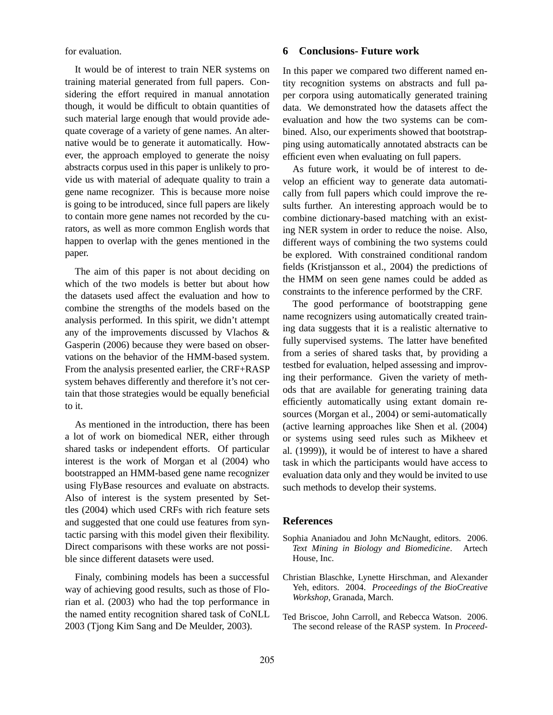for evaluation.

It would be of interest to train NER systems on training material generated from full papers. Considering the effort required in manual annotation though, it would be difficult to obtain quantities of such material large enough that would provide adequate coverage of a variety of gene names. An alternative would be to generate it automatically. However, the approach employed to generate the noisy abstracts corpus used in this paper is unlikely to provide us with material of adequate quality to train a gene name recognizer. This is because more noise is going to be introduced, since full papers are likely to contain more gene names not recorded by the curators, as well as more common English words that happen to overlap with the genes mentioned in the paper.

The aim of this paper is not about deciding on which of the two models is better but about how the datasets used affect the evaluation and how to combine the strengths of the models based on the analysis performed. In this spirit, we didn't attempt any of the improvements discussed by Vlachos & Gasperin (2006) because they were based on observations on the behavior of the HMM-based system. From the analysis presented earlier, the CRF+RASP system behaves differently and therefore it's not certain that those strategies would be equally beneficial to it.

As mentioned in the introduction, there has been a lot of work on biomedical NER, either through shared tasks or independent efforts. Of particular interest is the work of Morgan et al (2004) who bootstrapped an HMM-based gene name recognizer using FlyBase resources and evaluate on abstracts. Also of interest is the system presented by Settles (2004) which used CRFs with rich feature sets and suggested that one could use features from syntactic parsing with this model given their flexibility. Direct comparisons with these works are not possible since different datasets were used.

Finaly, combining models has been a successful way of achieving good results, such as those of Florian et al. (2003) who had the top performance in the named entity recognition shared task of CoNLL 2003 (Tjong Kim Sang and De Meulder, 2003).

## **6 Conclusions- Future work**

In this paper we compared two different named entity recognition systems on abstracts and full paper corpora using automatically generated training data. We demonstrated how the datasets affect the evaluation and how the two systems can be combined. Also, our experiments showed that bootstrapping using automatically annotated abstracts can be efficient even when evaluating on full papers.

As future work, it would be of interest to develop an efficient way to generate data automatically from full papers which could improve the results further. An interesting approach would be to combine dictionary-based matching with an existing NER system in order to reduce the noise. Also, different ways of combining the two systems could be explored. With constrained conditional random fields (Kristjansson et al., 2004) the predictions of the HMM on seen gene names could be added as constraints to the inference performed by the CRF.

The good performance of bootstrapping gene name recognizers using automatically created training data suggests that it is a realistic alternative to fully supervised systems. The latter have benefited from a series of shared tasks that, by providing a testbed for evaluation, helped assessing and improving their performance. Given the variety of methods that are available for generating training data efficiently automatically using extant domain resources (Morgan et al., 2004) or semi-automatically (active learning approaches like Shen et al. (2004) or systems using seed rules such as Mikheev et al. (1999)), it would be of interest to have a shared task in which the participants would have access to evaluation data only and they would be invited to use such methods to develop their systems.

### **References**

- Sophia Ananiadou and John McNaught, editors. 2006. *Text Mining in Biology and Biomedicine*. Artech House, Inc.
- Christian Blaschke, Lynette Hirschman, and Alexander Yeh, editors. 2004. *Proceedings of the BioCreative Workshop*, Granada, March.
- Ted Briscoe, John Carroll, and Rebecca Watson. 2006. The second release of the RASP system. In *Proceed-*